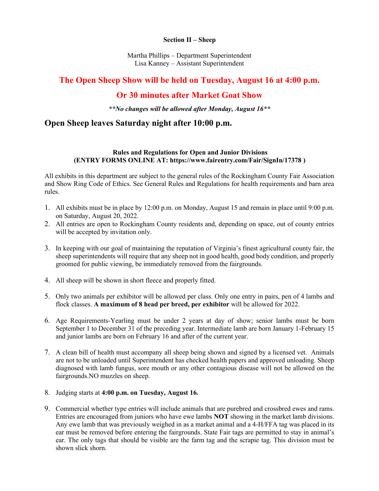### **Section II – Sheep**

Martha Phillips – Department Superintendent Lisa Kanney – Assistant Superintendent

# **The Open Sheep Show will be held on Tuesday, August 16 at 4:00 p.m.**

# **Or 30 minutes after Market Goat Show**

*\*\*No changes will be allowed after Monday, August 16\*\**

## **Open Sheep leaves Saturday night after 10:00 p.m.**

## **Rules and Regulations for Open and Junior Divisions (ENTRY FORMS ONLINE AT: https://www.fairentry.com/Fair/SignIn/17378 )**

All exhibits in this department are subject to the general rules of the Rockingham County Fair Association and Show Ring Code of Ethics. See General Rules and Regulations for health requirements and barn area rules.

- 1. All exhibits must be in place by 12:00 p.m. on Monday, August 15 and remain in place until 9:00 p.m. on Saturday, August 20, 2022.
- 2. All entries are open to Rockingham County residents and, depending on space, out of county entries will be accepted by invitation only.
- 3. In keeping with our goal of maintaining the reputation of Virginia's finest agricultural county fair, the sheep superintendents will require that any sheep not in good health, good body condition, and properly groomed for public viewing, be immediately removed from the fairgrounds.
- 4. All sheep will be shown in short fleece and properly fitted.
- 5. Only two animals per exhibitor will be allowed per class. Only one entry in pairs, pen of 4 lambs and flock classes. **A maximum of 8 head per breed, per exhibitor** will be allowed for 2022.
- 6. Age Requirements-Yearling must be under 2 years at day of show; senior lambs must be born September 1 to December 31 of the preceding year. Intermediate lamb are born January 1-February 15 and junior lambs are born on February 16 and after of the current year.
- 7. A clean bill of health must accompany all sheep being shown and signed by a licensed vet. Animals are not to be unloaded until Superintendent has checked health papers and approved unloading. Sheep diagnosed with lamb fungus, sore mouth or any other contagious disease will not be allowed on the fairgrounds.NO muzzles on sheep.
- 8. Judging starts at **4:00 p.m. on Tuesday, August 16.**
- 9. Commercial whether type entries will include animals that are purebred and crossbred ewes and rams. Entries are encouraged from juniors who have ewe lambs **NOT** showing in the market lamb divisions. Any ewe lamb that was previously weighed in as a market animal and a 4-H/FFA tag was placed in its ear must be removed before entering the fairgrounds. State Fair tags are permitted to stay in animal's ear. The only tags that should be visible are the farm tag and the scrapie tag. This division must be shown slick shorn.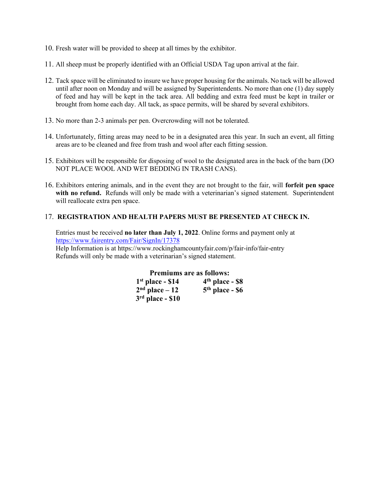- 10. Fresh water will be provided to sheep at all times by the exhibitor.
- 11. All sheep must be properly identified with an Official USDA Tag upon arrival at the fair.
- 12. Tack space will be eliminated to insure we have proper housing for the animals. No tack will be allowed until after noon on Monday and will be assigned by Superintendents. No more than one (1) day supply of feed and hay will be kept in the tack area. All bedding and extra feed must be kept in trailer or brought from home each day. All tack, as space permits, will be shared by several exhibitors.
- 13. No more than 2-3 animals per pen. Overcrowding will not be tolerated.
- 14. Unfortunately, fitting areas may need to be in a designated area this year. In such an event, all fitting areas are to be cleaned and free from trash and wool after each fitting session.
- 15. Exhibitors will be responsible for disposing of wool to the designated area in the back of the barn (DO NOT PLACE WOOL AND WET BEDDING IN TRASH CANS).
- 16. Exhibitors entering animals, and in the event they are not brought to the fair, will **forfeit pen space**  with no refund. Refunds will only be made with a veterinarian's signed statement. Superintendent will reallocate extra pen space.

### 17. **REGISTRATION AND HEALTH PAPERS MUST BE PRESENTED AT CHECK IN.**

Entries must be received **no later than July 1, 2022**. Online forms and payment only at <https://www.fairentry.com/Fair/SignIn/17378> Help Information is at https://www.rockinghamcountyfair.com/p/fair-info/fair-entry Refunds will only be made with a veterinarian's signed statement.

| <b>Premiums are as follows:</b> |                   |
|---------------------------------|-------------------|
| $1st$ place - \$14              | $4th$ place - \$8 |
| $2nd place - 12$                | $5th$ place - \$6 |
| $3rd$ place - \$10              |                   |